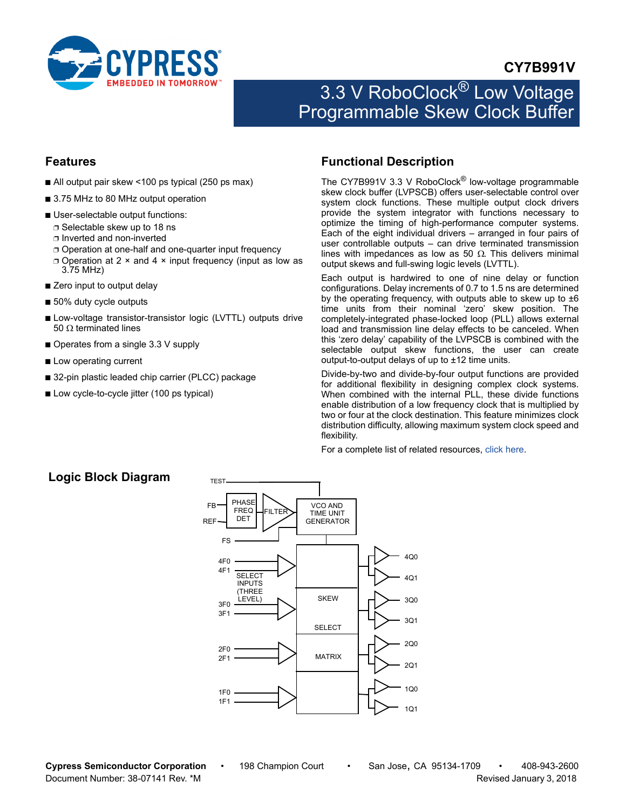

## **CY7B991V**

# 3.3 V RoboClock<sup>®</sup> Low Voltage Programmable Skew Clock Buffer

### <span id="page-0-2"></span>**Features**

- All output pair skew <100 ps typical (250 ps max)
- 3.75 MHz to 80 MHz output operation
- User-selectable output functions:
	- ❐ Selectable skew up to 18 ns
	- ❐ Inverted and non-inverted
	- ❐ Operation at one-half and one-quarter input frequency
	- ❐ Operation at 2 × and 4 × input frequency (input as low as 3.75 MHz)
- Zero input to output delay
- 50% duty cycle outputs
- Low-voltage transistor-transistor logic (LVTTL) outputs drive 50  $\Omega$  terminated lines
- Operates from a single 3.3 V supply
- Low operating current
- 32-pin plastic leaded chip carrier (PLCC) package
- Low cycle-to-cycle jitter (100 ps typical)

### <span id="page-0-1"></span>**Functional Description**

The CY7B991V 3.3 V RoboClock<sup>®</sup> low-voltage programmable skew clock buffer (LVPSCB) offers user-selectable control over system clock functions. These multiple output clock drivers provide the system integrator with functions necessary to optimize the timing of high-performance computer systems. Each of the eight individual drivers – arranged in four pairs of user controllable outputs – can drive terminated transmission lines with impedances as low as 50  $\Omega$ . This delivers minimal output skews and full-swing logic levels (LVTTL).

Each output is hardwired to one of nine delay or function configurations. Delay increments of 0.7 to 1.5 ns are determined by the operating frequency, with outputs able to skew up to  $\pm 6$ time units from their nominal 'zero' skew position. The completely-integrated phase-locked loop (PLL) allows external load and transmission line delay effects to be canceled. When this 'zero delay' capability of the LVPSCB is combined with the selectable output skew functions, the user can create output-to-output delays of up to ±12 time units.

Divide-by-two and divide-by-four output functions are provided for additional flexibility in designing complex clock systems. When combined with the internal PLL, these divide functions enable distribution of a low frequency clock that is multiplied by two or four at the clock destination. This feature minimizes clock distribution difficulty, allowing maximum system clock speed and flexibility.

For a complete list of related resources, [click here.](http://www.cypress.com/?rID=13826)

### <span id="page-0-0"></span>**Logic Block Diagram**

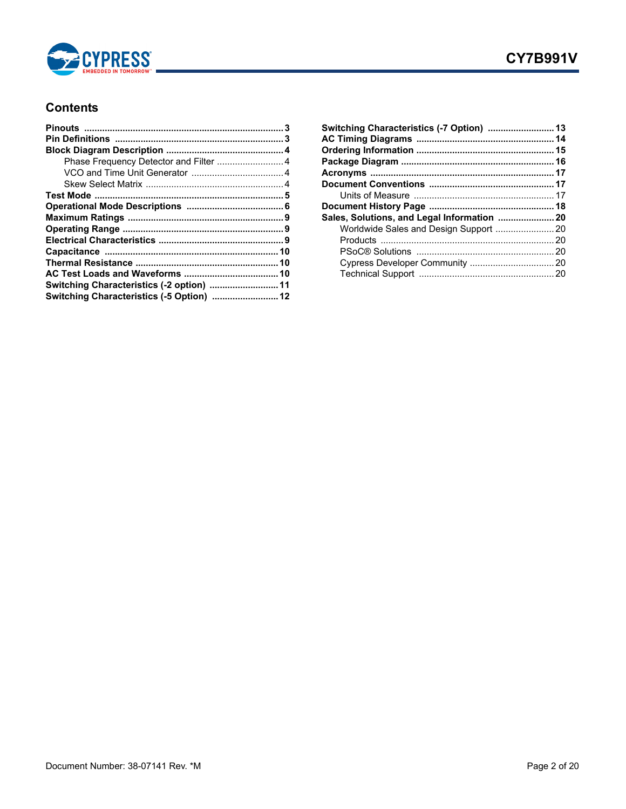

### **Contents**

| Switching Characteristics (-5 Option)  12 |  |
|-------------------------------------------|--|

| Switching Characteristics (-7 Option)  13   |  |
|---------------------------------------------|--|
|                                             |  |
|                                             |  |
|                                             |  |
|                                             |  |
|                                             |  |
|                                             |  |
|                                             |  |
| Sales, Solutions, and Legal Information  20 |  |
| Worldwide Sales and Design Support  20      |  |
|                                             |  |
|                                             |  |
|                                             |  |
|                                             |  |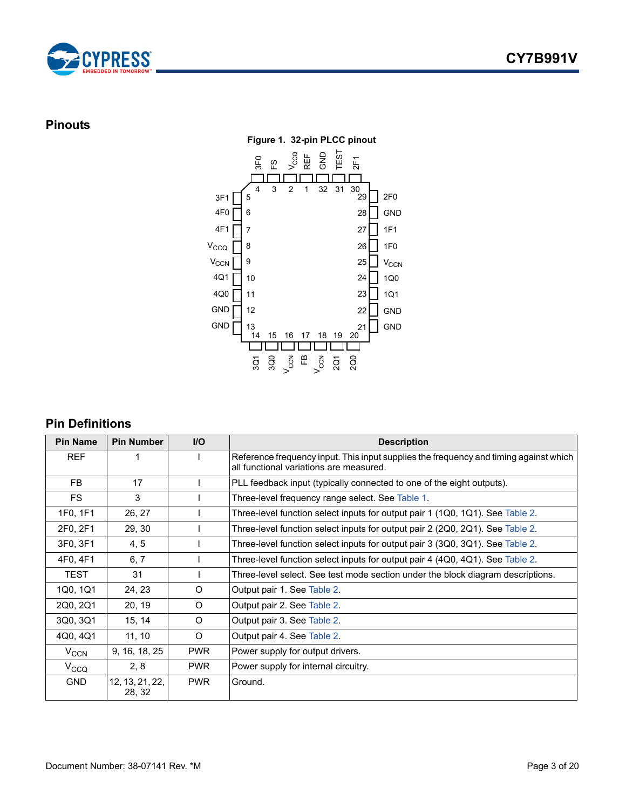



### <span id="page-2-2"></span><span id="page-2-0"></span>**Pinouts**



## <span id="page-2-1"></span>**Pin Definitions**

| <b>Pin Name</b>  | <b>Pin Number</b>         | <b>I/O</b> | <b>Description</b>                                                                                                               |
|------------------|---------------------------|------------|----------------------------------------------------------------------------------------------------------------------------------|
| <b>REF</b>       |                           |            | Reference frequency input. This input supplies the frequency and timing against which<br>all functional variations are measured. |
| FB               | 17                        |            | PLL feedback input (typically connected to one of the eight outputs).                                                            |
| <b>FS</b>        | 3                         |            | Three-level frequency range select. See Table 1.                                                                                 |
| 1F0, 1F1         | 26, 27                    |            | Three-level function select inputs for output pair 1 (1Q0, 1Q1). See Table 2.                                                    |
| 2F0, 2F1         | 29, 30                    |            | Three-level function select inputs for output pair 2 (2Q0, 2Q1). See Table 2.                                                    |
| 3F0, 3F1         | 4, 5                      |            | Three-level function select inputs for output pair 3 (3Q0, 3Q1). See Table 2.                                                    |
| 4F0, 4F1         | 6, 7                      |            | Three-level function select inputs for output pair 4 (4Q0, 4Q1). See Table 2.                                                    |
| <b>TEST</b>      | 31                        |            | Three-level select. See test mode section under the block diagram descriptions.                                                  |
| 1Q0, 1Q1         | 24, 23                    | O          | Output pair 1. See Table 2.                                                                                                      |
| 2Q0, 2Q1         | 20, 19                    | $\circ$    | Output pair 2. See Table 2.                                                                                                      |
| 3Q0, 3Q1         | 15, 14                    | O          | Output pair 3. See Table 2.                                                                                                      |
| 4Q0, 4Q1         | 11, 10                    | $\circ$    | Output pair 4. See Table 2.                                                                                                      |
| $V_{CCN}$        | 9, 16, 18, 25             | <b>PWR</b> | Power supply for output drivers.                                                                                                 |
| V <sub>CCQ</sub> | 2, 8                      | <b>PWR</b> | Power supply for internal circuitry.                                                                                             |
| <b>GND</b>       | 12, 13, 21, 22,<br>28, 32 | <b>PWR</b> | Ground.                                                                                                                          |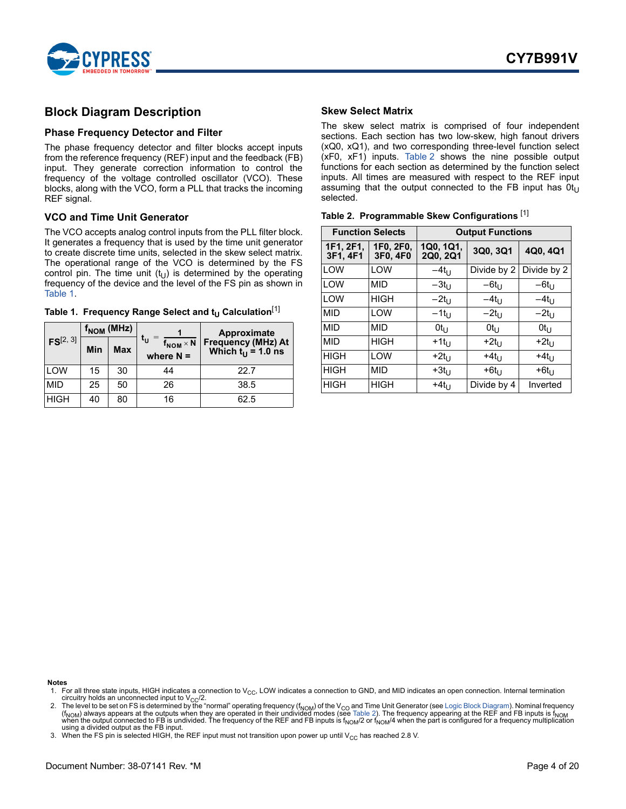

### <span id="page-3-0"></span>**Block Diagram Description**

### <span id="page-3-1"></span>**Phase Frequency Detector and Filter**

The phase frequency detector and filter blocks accept inputs from the reference frequency (REF) input and the feedback (FB) input. They generate correction information to control the frequency of the voltage controlled oscillator (VCO). These blocks, along with the VCO, form a PLL that tracks the incoming REF signal.

#### <span id="page-3-2"></span>**VCO and Time Unit Generator**

The VCO accepts analog control inputs from the PLL filter block. It generates a frequency that is used by the time unit generator to create discrete time units, selected in the skew select matrix. The operational range of the VCO is determined by the FS control pin. The time unit  $(t_U)$  is determined by the operating frequency of the device and the level of the FS pin as shown in [Table 1.](#page-3-4)

<span id="page-3-4"></span>

|  |  |  |  |  | Table 1. Frequency Range Select and t <sub>U</sub> Calculation <sup>[1]</sup> |
|--|--|--|--|--|-------------------------------------------------------------------------------|
|--|--|--|--|--|-------------------------------------------------------------------------------|

|               | $f_{\text{NOM}}$ (MHz) |    |                                                             | Approximate                                |  |
|---------------|------------------------|----|-------------------------------------------------------------|--------------------------------------------|--|
| $FS^{[2, 3]}$ | Min<br>Max             |    | $\mathfrak{r}_{\sf U}$<br>$f_{NOM} \times N$<br>where $N =$ | Frequency (MHz) At<br>Which $t_U = 1.0$ ns |  |
| LOW           | 15                     | 30 | 44                                                          | 22.7                                       |  |
| <b>MID</b>    | 25                     | 50 | 26                                                          | 38.5                                       |  |
| <b>HIGH</b>   | 40                     | 80 | 16                                                          | 62.5                                       |  |

#### <span id="page-3-3"></span>**Skew Select Matrix**

The skew select matrix is comprised of four independent sections. Each section has two low-skew, high fanout drivers (xQ0, xQ1), and two corresponding three-level function select (xF0, xF1) inputs. [Table 2](#page-3-5) shows the nine possible output functions for each section as determined by the function select inputs. All times are measured with respect to the REF input assuming that the output connected to the FB input has  $0t_{U}$ selected.

<span id="page-3-5"></span>

| Table 2. Programmable Skew Configurations [1] |  |  |  |  |
|-----------------------------------------------|--|--|--|--|
|-----------------------------------------------|--|--|--|--|

|                       | <b>Function Selects</b> |                       | <b>Output Functions</b> |                 |  |  |
|-----------------------|-------------------------|-----------------------|-------------------------|-----------------|--|--|
| 1F1, 2F1,<br>3F1, 4F1 | 1F0, 2F0,<br>3F0, 4F0   | 1Q0, 1Q1,<br>2Q0, 2Q1 | 3Q0, 3Q1                | 4Q0, 4Q1        |  |  |
| LOW                   | LOW                     | $-4t_{1}$             | Divide by 2             | Divide by 2     |  |  |
| LOW                   | <b>MID</b>              | $-3t_{1}$             | $-6t_{11}$              | $-6t_U$         |  |  |
| LOW                   | <b>HIGH</b>             | $-2t_{11}$            | $-4t_{11}$              | $-4t_{U}$       |  |  |
| <b>MID</b>            | <b>LOW</b>              | $-1t_{11}$            | $-2t_{U}$               | $-2t_U$         |  |  |
| <b>MID</b>            | <b>MID</b>              | $0t_{11}$             | $0t_U$                  | Ot <sub>u</sub> |  |  |
| <b>MID</b>            | <b>HIGH</b>             | $+1t_{U}$             | $+2t_{1}$               | $+2t_{1}$       |  |  |
| <b>HIGH</b>           | LOW                     | $+2t_{1}$             | $+4t_{1}$               | $+4t_{U}$       |  |  |
| <b>HIGH</b>           | MID                     | $+3t_{1}$             | $+6t_{1}$               | $+6t_{1}$       |  |  |
| <b>HIGH</b>           | <b>HIGH</b>             | $+4t_{11}$            | Divide by 4             | Inverted        |  |  |

**Notes**

- <span id="page-3-6"></span>1. For all three state inputs, HIGH indicates a connection to  $V_{CC}$ , LOW indicates a connection to GND, and MID indicates an open connection. Internal termination circuitry holds an unconnected input to  $V_{CC}/2$ .
- <span id="page-3-7"></span>2. The level to be set on FS is determined by the "normal" operating frequency (f<sub>NOM</sub>) of the V<sub>CO</sub> and Time Unit Generator (see [Logic Block Diagram](#page-0-0)). Nominal frequency (f<sub>NOM</sub>) always appears at the outputs when they ar using a divided output as the FB input.
- 3. When the FS pin is selected HIGH, the REF input must not transition upon power up until V<sub>CC</sub> has reached 2.8 V.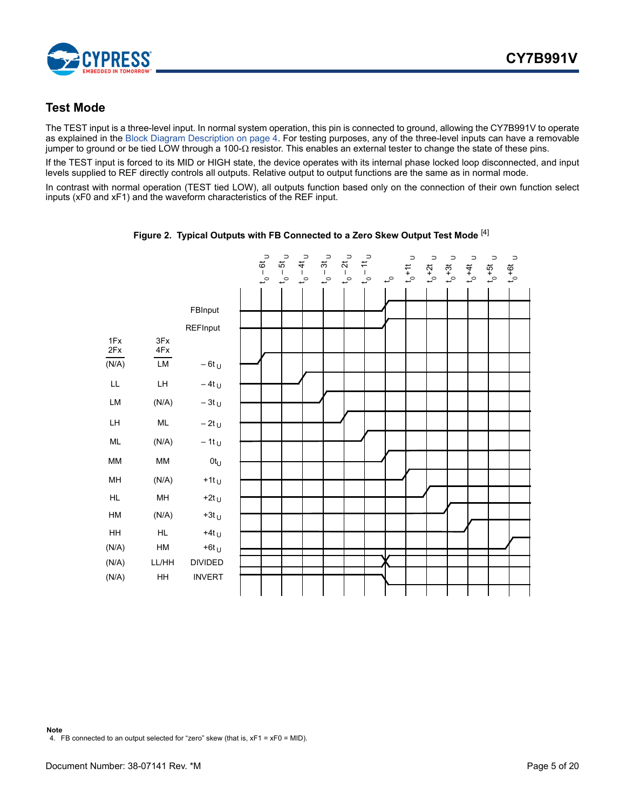

### <span id="page-4-0"></span>**Test Mode**

The TEST input is a three-level input. In normal system operation, this pin is connected to ground, allowing the CY7B991V to operate as explained in the [Block Diagram Description on page 4.](#page-3-0) For testing purposes, any of the three-level inputs can have a removable jumper to ground or be tied LOW through a 100- $\Omega$  resistor. This enables an external tester to change the state of these pins.

If the TEST input is forced to its MID or HIGH state, the device operates with its internal phase locked loop disconnected, and input levels supplied to REF directly controls all outputs. Relative output to output functions are the same as in normal mode.

<span id="page-4-1"></span>In contrast with normal operation (TEST tied LOW), all outputs function based only on the connection of their own function select inputs (xF0 and xF1) and the waveform characteristics of the REF input.



**Figure 2. Typical Outputs with FB Connected to a Zero Skew Output Test Mode** [4]

**Note** 4. FB connected to an output selected for "zero" skew (that is, xF1 = xF0 = MID).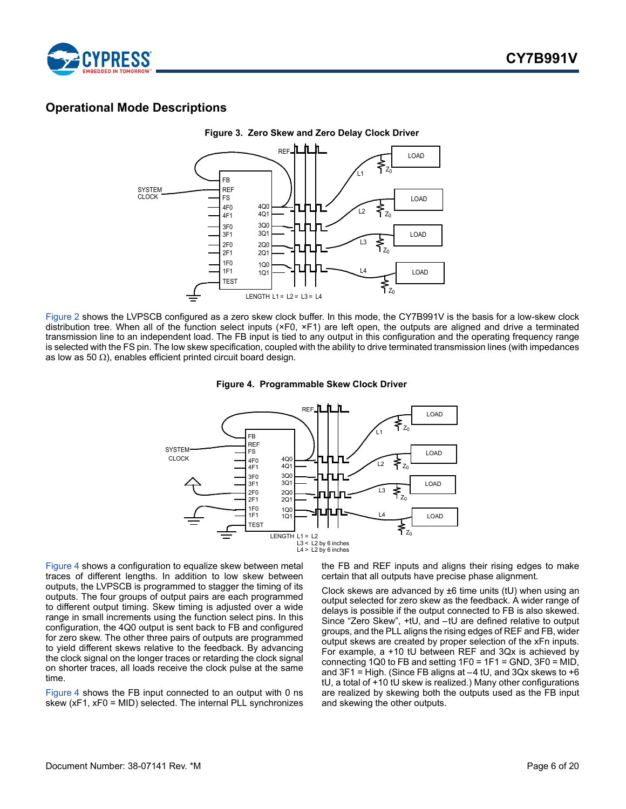

### <span id="page-5-0"></span>**Operational Mode Descriptions**



<span id="page-5-1"></span>[Figure 2](#page-4-1) shows the LVPSCB configured as a zero skew clock buffer. In this mode, the CY7B991V is the basis for a low-skew clock distribution tree. When all of the function select inputs (×F0, ×F1) are left open, the outputs are aligned and drive a terminated transmission line to an independent load. The FB input is tied to any output in this configuration and the operating frequency range is selected with the FS pin. The low skew specification, coupled with the ability to drive terminated transmission lines (with impedances as low as 50  $\Omega$ ), enables efficient printed circuit board design.

#### **Figure 4. Programmable Skew Clock Driver**



[Figure 4](#page-5-1) shows a configuration to equalize skew between metal traces of different lengths. In addition to low skew between outputs, the LVPSCB is programmed to stagger the timing of its outputs. The four groups of output pairs are each programmed to different output timing. Skew timing is adjusted over a wide range in small increments using the function select pins. In this configuration, the 4Q0 output is sent back to FB and configured for zero skew. The other three pairs of outputs are programmed to yield different skews relative to the feedback. By advancing the clock signal on the longer traces or retarding the clock signal on shorter traces, all loads receive the clock pulse at the same time.

[Figure 4](#page-5-1) shows the FB input connected to an output with 0 ns skew (xF1, xF0 = MID) selected. The internal PLL synchronizes the FB and REF inputs and aligns their rising edges to make certain that all outputs have precise phase alignment.

Clock skews are advanced by ±6 time units (tU) when using an output selected for zero skew as the feedback. A wider range of delays is possible if the output connected to FB is also skewed. Since "Zero Skew", +tU, and –tU are defined relative to output groups, and the PLL aligns the rising edges of REF and FB, wider output skews are created by proper selection of the xFn inputs. For example, a +10 tU between REF and 3Qx is achieved by connecting 1Q0 to FB and setting 1F0 = 1F1 = GND, 3F0 = MID, and  $3F1 =$  High. (Since FB aligns at  $-4$  tU, and  $3Qx$  skews to  $+6$ tU, a total of +10 tU skew is realized.) Many other configurations are realized by skewing both the outputs used as the FB input and skewing the other outputs.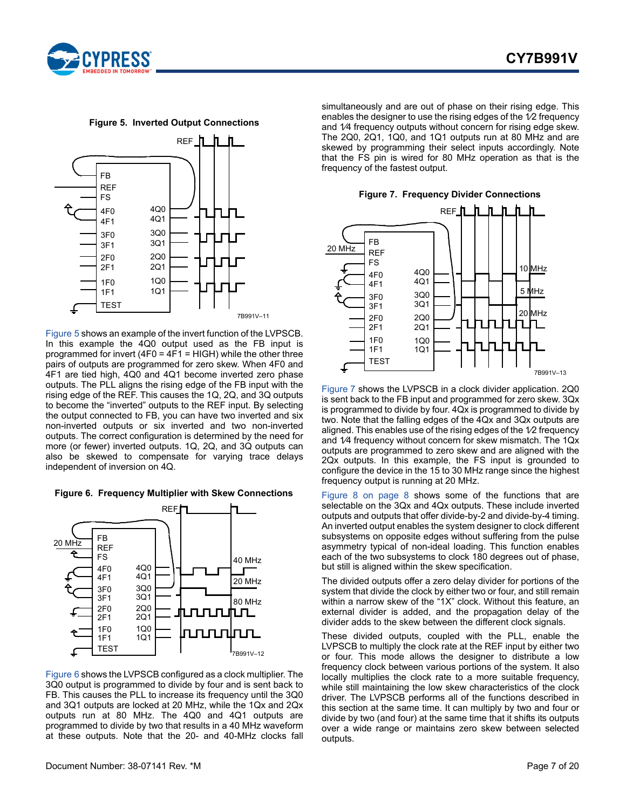

**Figure 5. Inverted Output Connections**

<span id="page-6-0"></span>

[Figure 5](#page-6-0) shows an example of the invert function of the LVPSCB. In this example the 4Q0 output used as the FB input is programmed for invert (4F0 =  $4F1$  = HIGH) while the other three pairs of outputs are programmed for zero skew. When 4F0 and 4F1 are tied high, 4Q0 and 4Q1 become inverted zero phase outputs. The PLL aligns the rising edge of the FB input with the rising edge of the REF. This causes the 1Q, 2Q, and 3Q outputs to become the "inverted" outputs to the REF input. By selecting the output connected to FB, you can have two inverted and six non-inverted outputs or six inverted and two non-inverted outputs. The correct configuration is determined by the need for more (or fewer) inverted outputs. 1Q, 2Q, and 3Q outputs can also be skewed to compensate for varying trace delays independent of inversion on 4Q.

<span id="page-6-1"></span>



[Figure 6](#page-6-1) shows the LVPSCB configured as a clock multiplier. The 3Q0 output is programmed to divide by four and is sent back to FB. This causes the PLL to increase its frequency until the 3Q0 and 3Q1 outputs are locked at 20 MHz, while the 1Qx and 2Qx outputs run at 80 MHz. The 4Q0 and 4Q1 outputs are programmed to divide by two that results in a 40 MHz waveform at these outputs. Note that the 20- and 40-MHz clocks fall simultaneously and are out of phase on their rising edge. This enables the designer to use the rising edges of the  $\sqrt{2}$  frequency and 1⁄4 frequency outputs without concern for rising edge skew. The 2Q0, 2Q1, 1Q0, and 1Q1 outputs run at 80 MHz and are skewed by programming their select inputs accordingly. Note that the FS pin is wired for 80 MHz operation as that is the frequency of the fastest output.



<span id="page-6-2"></span>

[Figure 7](#page-6-2) shows the LVPSCB in a clock divider application. 2Q0 is sent back to the FB input and programmed for zero skew. 3Qx is programmed to divide by four. 4Qx is programmed to divide by two. Note that the falling edges of the 4Qx and 3Qx outputs are aligned. This enables use of the rising edges of the 1⁄2 frequency and 1⁄4 frequency without concern for skew mismatch. The 1Qx outputs are programmed to zero skew and are aligned with the 2Qx outputs. In this example, the FS input is grounded to configure the device in the 15 to 30 MHz range since the highest frequency output is running at 20 MHz.

[Figure 8 on page 8](#page-7-0) shows some of the functions that are selectable on the 3Qx and 4Qx outputs. These include inverted outputs and outputs that offer divide-by-2 and divide-by-4 timing. An inverted output enables the system designer to clock different subsystems on opposite edges without suffering from the pulse asymmetry typical of non-ideal loading. This function enables each of the two subsystems to clock 180 degrees out of phase, but still is aligned within the skew specification.

The divided outputs offer a zero delay divider for portions of the system that divide the clock by either two or four, and still remain within a narrow skew of the "1X" clock. Without this feature, an external divider is added, and the propagation delay of the divider adds to the skew between the different clock signals.

These divided outputs, coupled with the PLL, enable the LVPSCB to multiply the clock rate at the REF input by either two or four. This mode allows the designer to distribute a low frequency clock between various portions of the system. It also locally multiplies the clock rate to a more suitable frequency, while still maintaining the low skew characteristics of the clock driver. The LVPSCB performs all of the functions described in this section at the same time. It can multiply by two and four or divide by two (and four) at the same time that it shifts its outputs over a wide range or maintains zero skew between selected outputs.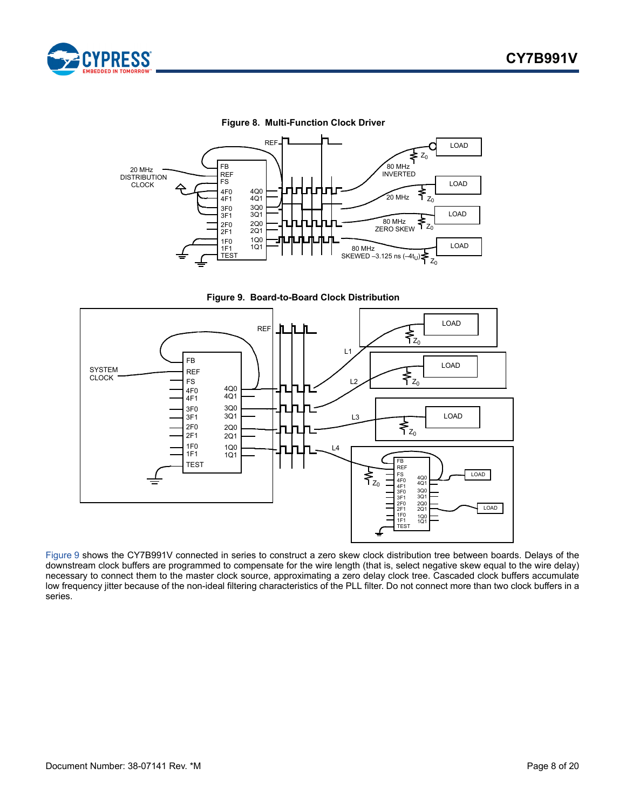

#### **Figure 8. Multi-Function Clock Driver**

<span id="page-7-0"></span>

**Figure 9. Board-to-Board Clock Distribution**

<span id="page-7-1"></span>

[Figure 9](#page-7-1) shows the CY7B991V connected in series to construct a zero skew clock distribution tree between boards. Delays of the downstream clock buffers are programmed to compensate for the wire length (that is, select negative skew equal to the wire delay) necessary to connect them to the master clock source, approximating a zero delay clock tree. Cascaded clock buffers accumulate low frequency jitter because of the non-ideal filtering characteristics of the PLL filter. Do not connect more than two clock buffers in a series.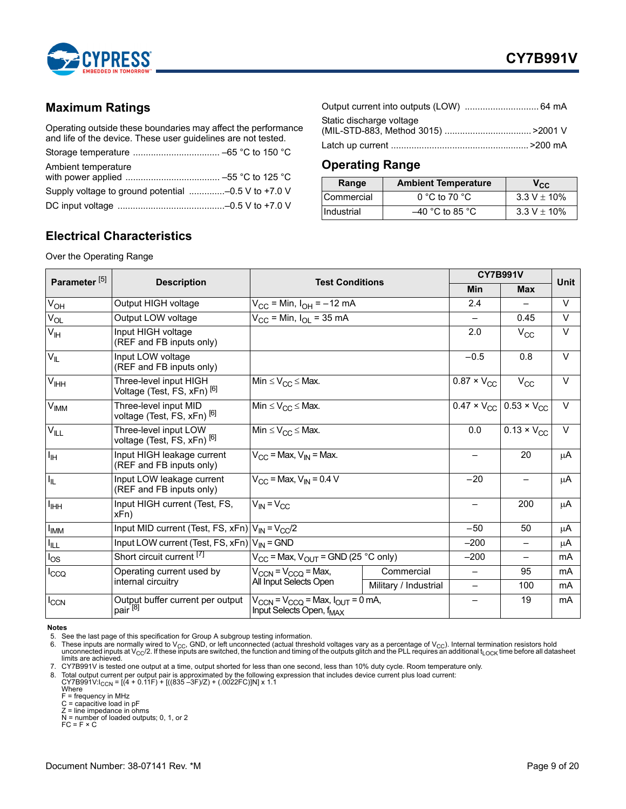

### <span id="page-8-0"></span>**Maximum Ratings**

Operating outside these boundaries may affect the performance and life of the device. These user guidelines are not tested.

| Ambient temperature                                 |  |
|-----------------------------------------------------|--|
|                                                     |  |
| Supply voltage to ground potential -0.5 V to +7.0 V |  |
|                                                     |  |

| Static discharge voltage |  |
|--------------------------|--|
|                          |  |

### <span id="page-8-1"></span>**Operating Range**

| Range             | <b>Ambient Temperature</b> | $V_{\rm CC}$     |
|-------------------|----------------------------|------------------|
| <b>Commercial</b> | $0 °C$ to 70 $°C$          | $3.3 V \pm 10\%$ |
| Industrial        | $-40$ °C to 85 °C          | $3.3 V \pm 10\%$ |

### <span id="page-8-2"></span>**Electrical Characteristics**

Over the Operating Range

| Parameter <sup>[5]</sup> |                                                                  | <b>Test Conditions</b>                                                                                      |                       | <b>CY7B991V</b>                 |                                                           | <b>Unit</b> |
|--------------------------|------------------------------------------------------------------|-------------------------------------------------------------------------------------------------------------|-----------------------|---------------------------------|-----------------------------------------------------------|-------------|
|                          | <b>Description</b>                                               |                                                                                                             |                       |                                 | <b>Max</b>                                                |             |
| V <sub>OH</sub>          | Output HIGH voltage                                              | $V_{CC}$ = Min, $I_{OH}$ = $-12$ mA                                                                         |                       | 2.4                             |                                                           | $\vee$      |
| $V_{OL}$                 | Output LOW voltage                                               | $V_{CC}$ = Min, $I_{OL}$ = 35 mA                                                                            |                       | $\overline{\phantom{0}}$        | 0.45                                                      | $\vee$      |
| $V_{\text{IH}}$          | Input HIGH voltage<br>(REF and FB inputs only)                   |                                                                                                             |                       | 2.0                             | $V_{CC}$                                                  | $\vee$      |
| $V_{IL}$                 | Input LOW voltage<br>(REF and FB inputs only)                    |                                                                                                             |                       | $-0.5$                          | 0.8                                                       | $\vee$      |
| V <sub>IHH</sub>         | Three-level input HIGH<br>Voltage (Test, FS, xFn) <sup>[6]</sup> | Min $\leq$ $V_{CC}$ $\leq$ Max.                                                                             |                       | $\overline{0.87} \times V_{CC}$ | $V_{CC}$                                                  | $\vee$      |
| $V_{IMM}$                | Three-level input MID<br>voltage (Test, FS, xFn) <sup>[6]</sup>  | Min $\leq$ $V_{CC}$ $\leq$ Max.                                                                             |                       |                                 | $0.47 \times V_{\text{CC}}$ 0.53 $\times$ V <sub>CC</sub> | $\vee$      |
| $V_{\mathsf{ILL}}$       | Three-level input LOW<br>voltage (Test, FS, xFn) <sup>[6]</sup>  | Min $\leq$ $V_{CC}$ $\leq$ Max.                                                                             |                       | 0.0                             | $\overline{0.13} \times V_{CC}$                           | $\vee$      |
| $I_{\rm IH}$             | Input HIGH leakage current<br>(REF and FB inputs only)           | $V_{CC}$ = Max, $V_{IN}$ = Max.                                                                             |                       |                                 | 20                                                        | μA          |
| $I_{\rm IL}$             | Input LOW leakage current<br>(REF and FB inputs only)            | $V_{CC}$ = Max, $V_{IN}$ = 0.4 V                                                                            |                       | $-20$                           | —                                                         | μA          |
| <b>I<sub>IHH</sub></b>   | Input HIGH current (Test, FS,<br>$xFn$ )                         | $V_{IN} = V_{CC}$                                                                                           |                       | -                               | 200                                                       | μA          |
| <b>I<sub>IMM</sub></b>   | Input MID current (Test, FS, xFn) $ V_{IN} = V_{CC}/2$           |                                                                                                             |                       | $-50$                           | 50                                                        | μA          |
| I <sub>ILL</sub>         | Input LOW current (Test, FS, $xFn$ ) $V_{IN}$ = GND              |                                                                                                             |                       | $-200$                          | $\qquad \qquad -$                                         | μA          |
| $I_{OS}$                 | Short circuit current [7]                                        | $V_{CC}$ = Max, $V_{OUT}$ = GND (25 °C only)                                                                |                       | $-200$                          | $-$                                                       | mA          |
| I <sub>CCQ</sub>         | Operating current used by                                        | $V_{\text{CCN}}$ = $V_{\text{CCQ}}$ = Max,                                                                  | Commercial            |                                 | 95                                                        | mA          |
|                          | internal circuitry                                               | All Input Selects Open                                                                                      | Military / Industrial |                                 | 100                                                       | mA          |
| $I_{CCN}$                | Output buffer current per output<br>pair <sup>[8]</sup>          | $V_{\text{CCN}}$ = $V_{\text{CCQ}}$ = Max, $I_{\text{OUT}}$ = 0 mA,<br>Input Selects Open, f <sub>MAX</sub> |                       |                                 | 19                                                        | mA          |

#### **Notes**

<span id="page-8-3"></span>5. See the last page of this specification for Group A subgroup testing information.

<span id="page-8-4"></span>6. These inputs are normally wired to V<sub>CC</sub>, GND, or left unconnected (actual threshold voltages vary as a percentage of V<sub>CC</sub>). Internal termination resistors hold<br>unconnected inputs at V<sub>CC</sub>/2. If these inputs are switc

<span id="page-8-6"></span><span id="page-8-5"></span>7. CY7B991V is tested one output at a time, output shorted for less than one second, less than 10% duty cycle. Room temperature only.<br>8. Total output current per output pair is approximated by the following expression tha

C = capacitive load in pF Z = line impedance in ohms N = number of loaded outputs; 0, 1, or 2

 $FC = F \times C$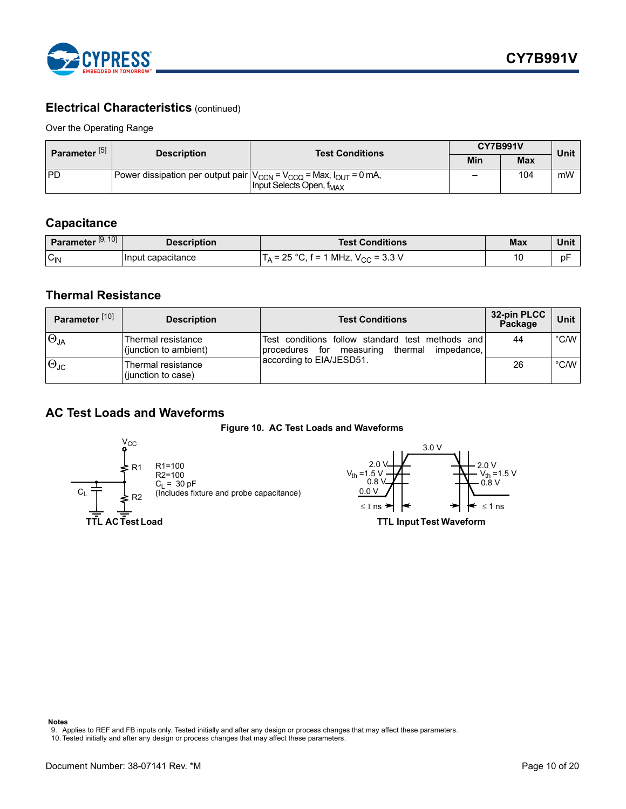

### **Electrical Characteristics (continued)**

Over the Operating Range

| Parameter <sup>[5]</sup> | <b>Test Conditions</b><br><b>Description</b>                                    |                                      | <b>CY7B991V</b> | <b>Unit</b> |    |
|--------------------------|---------------------------------------------------------------------------------|--------------------------------------|-----------------|-------------|----|
|                          |                                                                                 |                                      | Min             | <b>Max</b>  |    |
| <b>IPD</b>               | Power dissipation per output pair $ V_{CCN} = V_{CCQ}$ = Max, $I_{OUT}$ = 0 mA, | Input Selects Open, f <sub>MAX</sub> | -               | 104         | mW |

### <span id="page-9-0"></span>**Capacitance**

| Parameter <sup>[9, 10]</sup> | <b>Description</b>  | <b>Test Conditions</b>                                        | Max | Unit |
|------------------------------|---------------------|---------------------------------------------------------------|-----|------|
| $C_{IN}$                     | I Input capacıtance | $MLZ, V_{CC} = 3.3 V$<br>つに<br>$\circ$<br>$f = 1$<br>ΙΔ<br>ںے | 10  | рF   |

### <span id="page-9-1"></span>**Thermal Resistance**

| Parameter <sup>[10]</sup> | <b>Description</b>                          | <b>Test Conditions</b>                                                                                      | 32-pin PLCC<br>Package | Unit          |
|---------------------------|---------------------------------------------|-------------------------------------------------------------------------------------------------------------|------------------------|---------------|
| $\Theta_{JA}$             | Thermal resistance<br>(junction to ambient) | Test conditions follow standard test methods and<br>thermal<br>impedance,<br>for<br>measuring<br>procedures | 44                     | $\degree$ C/W |
| $\Theta_{\text{JC}}$      | Thermal resistance<br>(junction to case)    | 1according to EIA/JESD51.                                                                                   | 26                     | $\degree$ C/W |

### <span id="page-9-2"></span>**AC Test Loads and Waveforms**

**Figure 10. AC Test Loads and Waveforms**



R1=100 R2=100 CL = 30 pF (Includes fixture and probe capacitance)





**Notes**

<span id="page-9-3"></span>9. Applies to REF and FB inputs only. Tested initially and after any design or process changes that may affect these parameters. 10. Tested initially and after any design or process changes that may affect these parameters.

<span id="page-9-4"></span>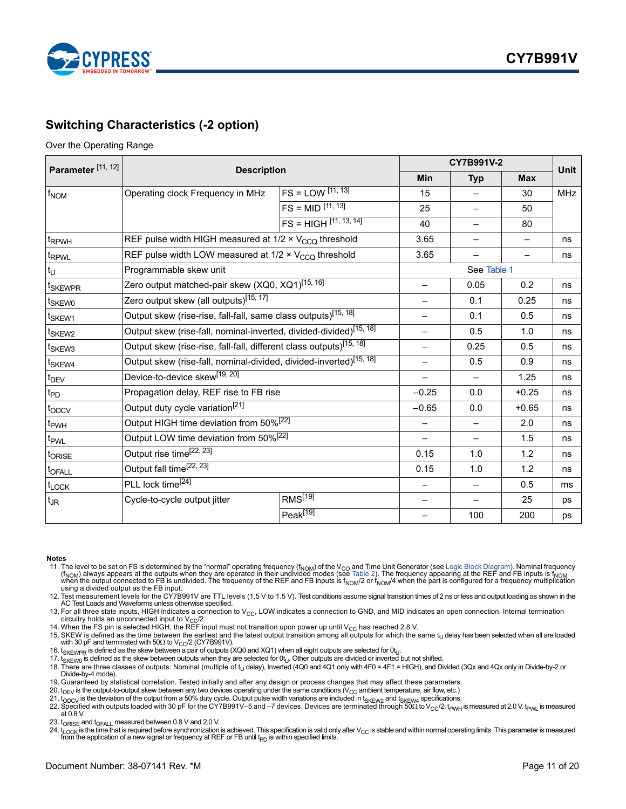

### <span id="page-10-0"></span>**Switching Characteristics (-2 option)**

#### Over the Operating Range

| Parameter <sup>[11, 12]</sup> |                                                                                 | CY7B991V-2                 |                          |                          | <b>Unit</b> |            |
|-------------------------------|---------------------------------------------------------------------------------|----------------------------|--------------------------|--------------------------|-------------|------------|
|                               | <b>Description</b>                                                              | Min                        | <b>Typ</b>               | <b>Max</b>               |             |            |
| $f_{NOM}$                     | Operating clock Frequency in MHz                                                | $FS = LOW$ $[11, 13]$      | 15                       |                          | 30          | <b>MHz</b> |
|                               |                                                                                 | $FS = MID$ $[11, 13]$      | 25                       |                          | 50          |            |
|                               |                                                                                 | $FS = HIGH$ $[11, 13, 14]$ | 40                       |                          | 80          |            |
| t <sub>RPWH</sub>             | REF pulse width HIGH measured at 1/2 x V <sub>CCQ</sub> threshold               |                            | 3.65                     |                          |             | ns         |
| t <sub>RPWL</sub>             | REF pulse width LOW measured at 1/2 x V <sub>CCO</sub> threshold                |                            | 3.65                     |                          |             | ns         |
| $t_U$                         | Programmable skew unit                                                          |                            |                          | See Table 1              |             |            |
| t <sub>SKEWPR</sub>           | Zero output matched-pair skew (XQ0, XQ1) <sup>[15, 16]</sup>                    |                            | $\overline{\phantom{0}}$ | 0.05                     | 0.2         | ns         |
| t <sub>SKEW0</sub>            | Zero output skew (all outputs) <sup>[15, 17]</sup>                              |                            |                          | 0.1                      | 0.25        | ns         |
| t <sub>SKEW1</sub>            | Output skew (rise-rise, fall-fall, same class outputs) <sup>[15, 18]</sup>      |                            | —                        | 0.1                      | 0.5         | ns         |
| t <sub>SKEW2</sub>            | Output skew (rise-fall, nominal-inverted, divided-divided) <sup>[15, 18]</sup>  |                            |                          | 0.5                      | 1.0         | ns         |
| <sup>t</sup> SKEW3            | Output skew (rise-rise, fall-fall, different class outputs) <sup>[15, 18]</sup> |                            | $\overline{\phantom{0}}$ | 0.25                     | 0.5         | ns         |
| t <sub>SKEW4</sub>            | Output skew (rise-fall, nominal-divided, divided-inverted) <sup>[15, 18]</sup>  |                            | 0.5                      | 0.9                      | ns          |            |
| $t_{\text{DEV}}$              | Device-to-device skew <sup>[19, 20]</sup>                                       |                            |                          | 1.25                     | ns          |            |
| $t_{PD}$                      | Propagation delay, REF rise to FB rise                                          |                            | $-0.25$                  | 0.0                      | $+0.25$     | ns         |
| t <sub>ODCV</sub>             | Output duty cycle variation <sup>[21]</sup>                                     |                            | $-0.65$                  | 0.0                      | $+0.65$     | ns         |
| t <sub>PWH</sub>              | Output HIGH time deviation from 50% <sup>[22]</sup>                             |                            |                          |                          | 2.0         | ns         |
| t <sub>PWL</sub>              | Output LOW time deviation from 50% <sup>[22]</sup>                              |                            | <u>—</u>                 | $\overline{\phantom{0}}$ | 1.5         | ns         |
| t <sub>ORISE</sub>            | Output rise time <sup>[22, 23]</sup>                                            | 0.15                       | 1.0                      | 1.2                      | ns          |            |
| t <sub>OFALL</sub>            | Output fall time <sup>[22, 23]</sup>                                            | 0.15                       | 1.0                      | 1.2                      | ns          |            |
| t <sub>LOCK</sub>             | PLL lock time <sup>[24]</sup>                                                   |                            |                          | 0.5                      | ms          |            |
| $t_{\text{JR}}$               | Cycle-to-cycle output jitter                                                    | RMS <sup>[19]</sup>        |                          |                          | 25          | ps         |
|                               |                                                                                 | Peak[19]                   |                          | 100                      | 200         | ps         |

#### **Notes**

- <span id="page-10-1"></span>11. The level to be set on FS is determined by the "normal" operating frequency (f<sub>NOM</sub>) of the V<sub>CO</sub> and Time Unit Generator (see [Logic Block Diagram](#page-0-0)). Nominal frequency<br>(f<sub>NOM</sub>) always appears at the outputs when they a
- <span id="page-10-2"></span>12. Test measurement levels for the CY7B991V are TTL levels (1.5 V to 1.5 V). Test conditions assume signal transition times of 2 ns or less and output loading as shown in the AC Test Loads and Waveforms unless otherwise specified.

<span id="page-10-3"></span>13. For all three state inputs, HIGH indicates a connection to V<sub>CC</sub>, LOW indicates a connection to GND, and MID indicates an open connection. Internal termination circuitry holds an unconnected input to V<sub>CC</sub>/2.

<span id="page-10-5"></span><span id="page-10-4"></span>

- 14. When the FS pin is selected HIGH, the REF input must not transition upon power up until V<sub>CC</sub> has reached 2.8 V.<br>15. SKEW is defined as the time between the earliest and the latest output transition among all outputs
- 

<span id="page-10-7"></span><span id="page-10-6"></span>16. t<sub>SKEWPR</sub> is defined as the skew between a pair of outputs (XQ0 and XQ1) when all eight outputs are selected for 0t<sub>U</sub>.<br>17. t<sub>SKEW0</sub> is defined as the skew between outputs when they are selected for 0t<sub>U</sub>. Other output

- <span id="page-10-8"></span>18. There are three classes of outputs: Nominal (multiple of t<sub>U</sub> delay), Inverted (4Q0 and 4Q1 only with 4F0 = 4F1 = HIGH), and Divided (3Qx and 4Qx only in Divide-by-2 or Divide-by-4 mode).
- <span id="page-10-9"></span>19. Guaranteed by statistical correlation. Tested initially and after any design or process changes that may affect these parameters.

<span id="page-10-10"></span>20.  $t_{\rm DEV}$  is the output-to-output skew between any two devices operating under the same conditions ( $V_{\rm CC}$  ambient temperature, air flow, etc.)

<span id="page-10-12"></span>

<span id="page-10-13"></span>23. t<sub>ORISE</sub> and t<sub>OFALL</sub> measured between 0.8 V and 2.0 V.

<span id="page-10-14"></span>24. t<sub>LOCK</sub> is the time that is required before synchronization is achieved. This specification is valid only after V<sub>CC</sub> is stable and within normal operating limits. This parameter is measured from the application of a new signal or frequency at REF or FB until  $t_{PD}$  is within specified limits.

<span id="page-10-11"></span><sup>21.</sup> t<sub>ODCV</sub> is the deviation of the output from a 50% duty cycle. Output pulse width variations are included in t<sub>SKEW2</sub> and t<sub>SKEW4</sub> specifications.<br>22. Specified with outputs loaded with 30 pF for the CY7B991V–5 and –7 at 0.8 V.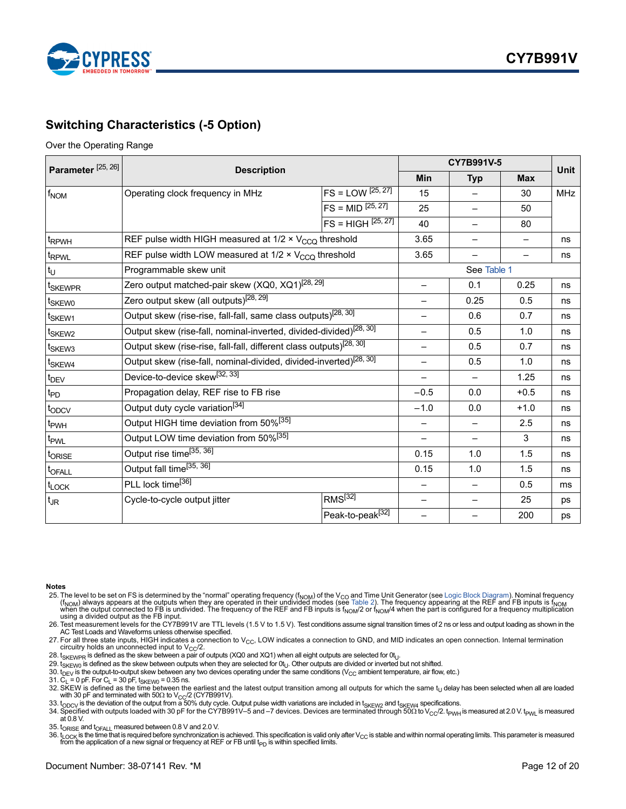

### <span id="page-11-0"></span>**Switching Characteristics (-5 Option)**

#### Over the Operating Range

| Parameter <sup>[25, 26]</sup> |                                                                                 |                                 | CY7B991V-5               | Unit                     |        |            |
|-------------------------------|---------------------------------------------------------------------------------|---------------------------------|--------------------------|--------------------------|--------|------------|
|                               | <b>Description</b>                                                              |                                 |                          |                          |        |            |
| $f_{NOM}$                     | Operating clock frequency in MHz                                                | $FS = LOW$ <sup>[25, 27]</sup>  | 15                       |                          | 30     | <b>MHz</b> |
|                               |                                                                                 | $FS = MID$ <sup>[25, 27]</sup>  | 25                       |                          | 50     |            |
|                               |                                                                                 | $FS = HIGH$ <sup>[25, 27]</sup> | 40                       |                          | 80     |            |
| t <sub>RPWH</sub>             | REF pulse width HIGH measured at 1/2 × V <sub>CCQ</sub> threshold               |                                 | 3.65                     |                          |        | ns         |
| t <sub>RPWL</sub>             | REF pulse width LOW measured at 1/2 x V <sub>CCO</sub> threshold                |                                 | 3.65                     |                          |        | ns         |
| $t_U$                         | Programmable skew unit                                                          |                                 |                          | See Table 1              |        |            |
| t <sub>SKEWPR</sub>           | Zero output matched-pair skew (XQ0, XQ1) <sup>[28, 29]</sup>                    |                                 | $\overline{\phantom{0}}$ | 0.1                      | 0.25   | ns         |
| t <sub>SKEW0</sub>            | Zero output skew (all outputs) <sup>[28, 29]</sup>                              |                                 |                          | 0.25                     | 0.5    | ns         |
| t <sub>SKEW1</sub>            | Output skew (rise-rise, fall-fall, same class outputs) <sup>[28, 30]</sup>      |                                 | $\overline{\phantom{0}}$ | 0.6                      | 0.7    | ns         |
| t <sub>SKEW2</sub>            | Output skew (rise-fall, nominal-inverted, divided-divided) <sup>[28, 30]</sup>  |                                 | 0.5                      | 1.0                      | ns     |            |
| <sup>t</sup> SKEW3            | Output skew (rise-rise, fall-fall, different class outputs) <sup>[28, 30]</sup> |                                 | 0.5                      | 0.7                      | ns     |            |
| t <sub>SKEW4</sub>            | Output skew (rise-fall, nominal-divided, divided-inverted) <sup>[28, 30]</sup>  |                                 | 0.5                      | 1.0                      | ns     |            |
| $t_{DEV}$                     | Device-to-device skew <sup>[32, 33]</sup>                                       |                                 |                          | 1.25                     | ns     |            |
| $t_{\text{PD}}$               | Propagation delay, REF rise to FB rise                                          |                                 | $-0.5$                   | 0.0                      | $+0.5$ | ns         |
| t <sub>ODCV</sub>             | Output duty cycle variation <sup>[34]</sup>                                     |                                 | $-1.0$                   | 0.0                      | $+1.0$ | ns         |
| t <sub>PWH</sub>              | Output HIGH time deviation from 50% <sup>[35]</sup>                             |                                 | $\overline{\phantom{0}}$ |                          | 2.5    | ns         |
| t <sub>PWL</sub>              | Output LOW time deviation from 50% <sup>[35]</sup>                              |                                 |                          | $\overline{\phantom{0}}$ | 3      | ns         |
| t <sub>ORISE</sub>            | Output rise time <sup>[35, 36]</sup>                                            | 0.15                            | 1.0                      | 1.5                      | ns     |            |
| t <sub>OFALL</sub>            | Output fall time <sup>[35, 36]</sup>                                            | 0.15                            | 1.0                      | 1.5                      | ns     |            |
| t <sub>LOCK</sub>             | PLL lock time <sup>[36]</sup>                                                   |                                 |                          | 0.5                      | ms     |            |
| $t_{JR}$                      | Cycle-to-cycle output jitter                                                    | $RMS^{[32]}$                    | -                        |                          | 25     | ps         |
|                               |                                                                                 | Peak-to-peak <sup>[32]</sup>    |                          |                          | 200    | ps         |

#### **Notes**

<span id="page-11-1"></span>25. The level to be set on FS is determined by the "normal" operating frequency (f<sub>NOM</sub>) of the V<sub>CO</sub> and Time Unit Generator (see [Logic Block Diagram](#page-0-0)). Nominal frequency (f<sub>NOM</sub>) always appears at the outputs when they a using a divided output as the FB input.

<span id="page-11-2"></span>26. Test measurement levels for the CY7B991V are TTL levels (1.5 V to 1.5 V). Test conditions assume signal transition times of 2 ns or less and output loading as shown in the<br>AC Test Loads and Waveforms unless otherwise s

<span id="page-11-3"></span>27. For all three state inputs, HIGH indicates a connection to V<sub>CC</sub>, LOW indicates a connection to GND, and MID indicates an open connection. Internal termination circuitry holds an unconnected input to V<sub>CC</sub>/2.

<span id="page-11-4"></span>28. t<sub>SKEWPR</sub> is defined as the skew between a pair of outputs (XQ0 and XQ1) when all eight outputs are selected for  $0t_{1}$ .

<span id="page-11-5"></span>29. t<sub>SKEW0</sub> is defined as the skew between outputs when they are selected for 0t<sub>U</sub>. Other outputs are divided or inverted but not shifted.<br>30. t<sub>DEV</sub> is the output-to-output skew between any two devices operating under t

<span id="page-11-6"></span>

<span id="page-11-7"></span>31. C<sub>L</sub> = 0 pF. For C<sub>L</sub> = 30 pF, t<sub>SKEW0</sub> = 0.35 ns.<br>32. SKEW is defined as the time between the earliest and the latest output transition among all outputs for which the same t<sub>U</sub> delay has been selected when all are lo with 30 pF and terminated with 50 $\Omega$  to V<sub>CC</sub>/2 (CY7B991V).

<span id="page-11-8"></span>33.  $t_{\rm ODCV}$  is the deviation of the output from a 50% duty cycle. Output pulse width variations are included in t<sub>SKEW2</sub> and t<sub>SKEW4</sub> specifications.

<span id="page-11-9"></span>34. Specified with outputs loaded with 30 pF for the CY7B991V–5 and –7 devices. Devices are terminated through  $5002$  to  $V_{\rm CC}/2$ . t<sub>PWH</sub> is measured at 2.0 V. t<sub>PWL</sub> is measured at  $0.8$  V.

<span id="page-11-10"></span>35. t<sub>ORISE</sub> and t<sub>OFALL</sub> measured between 0.8 V and 2.0 V.

<span id="page-11-11"></span>36. t<sub>LOCK</sub> is the time that is required before synchronization is achieved. This specification is valid only after V<sub>CC</sub> is stable and within normal operating limits. This parameter is measured from the application of a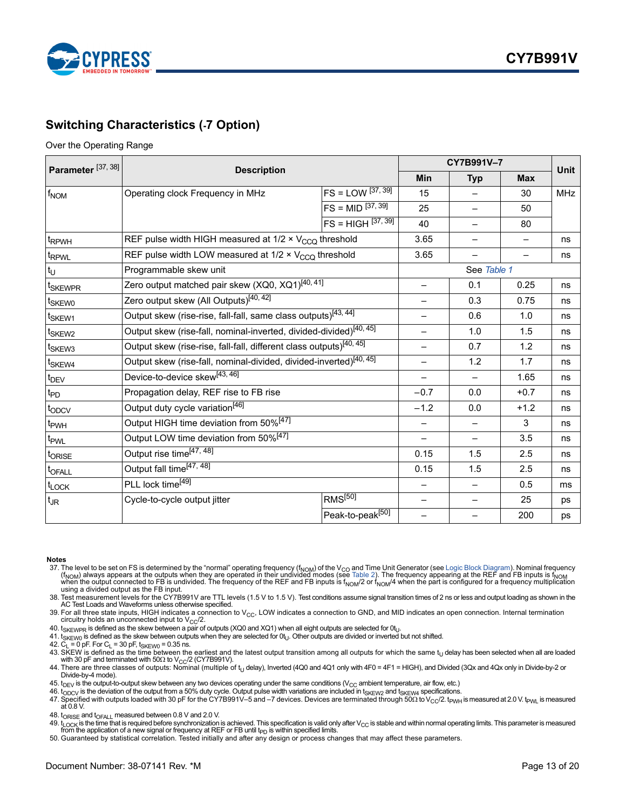

### <span id="page-12-0"></span>**Switching Characteristics (-7 Option)**

#### Over the Operating Range

| Parameter <sup>[37, 38]</sup> |                                                                                 |                              | CY7B991V-7               | Unit                     |                          |            |
|-------------------------------|---------------------------------------------------------------------------------|------------------------------|--------------------------|--------------------------|--------------------------|------------|
|                               | <b>Description</b>                                                              |                              |                          |                          | <b>Max</b>               |            |
| $f_{NOM}$                     | Operating clock Frequency in MHz                                                | $FS = LOW$ [37, 39]          | 15                       |                          | 30                       | <b>MHz</b> |
|                               |                                                                                 | $FS = MID^{37, 39}$          | 25                       | $\overline{\phantom{0}}$ | 50                       |            |
|                               |                                                                                 | $FS = HIGH$ $37, 39$         | 40                       |                          | 80                       |            |
| t <sub>RPWH</sub>             | REF pulse width HIGH measured at 1/2 x V <sub>CCQ</sub> threshold               |                              | 3.65                     |                          | $\overline{\phantom{0}}$ | ns         |
| t <sub>RPWL</sub>             | REF pulse width LOW measured at 1/2 x V <sub>CCO</sub> threshold                |                              | 3.65                     |                          |                          | ns         |
| $t_U$                         | Programmable skew unit                                                          |                              |                          | See Table 1              |                          |            |
| t <sub>SKEWPR</sub>           | Zero output matched pair skew (XQ0, XQ1) <sup>[40, 41]</sup>                    |                              | $\qquad \qquad -$        | 0.1                      | 0.25                     | ns         |
| t <sub>SKEW0</sub>            | Zero output skew (All Outputs) <sup>[40,42]</sup>                               |                              |                          | 0.3                      | 0.75                     | ns         |
| t <sub>SKEW1</sub>            | Output skew (rise-rise, fall-fall, same class outputs) <sup>[43,44]</sup>       |                              |                          | 0.6                      | 1.0                      | ns         |
| t <sub>SKEW2</sub>            | Output skew (rise-fall, nominal-inverted, divided-divided) <sup>[40,45]</sup>   |                              | 1.0                      | 1.5                      | ns                       |            |
| t <sub>SKEW3</sub>            | Output skew (rise-rise, fall-fall, different class outputs) <sup>[40, 45]</sup> | $\qquad \qquad =$            | 0.7                      | 1.2                      | ns                       |            |
| t <sub>SKEW4</sub>            | Output skew (rise-fall, nominal-divided, divided-inverted) <sup>[40, 45]</sup>  |                              | 1.2                      | 1.7                      | ns                       |            |
| $t_{DEV}$                     | Device-to-device skew <sup>[43,46]</sup>                                        |                              |                          | 1.65                     | ns                       |            |
| $t_{\mathsf{PD}}$             | Propagation delay, REF rise to FB rise                                          | $-0.7$                       | 0.0                      | $+0.7$                   | ns                       |            |
| t <sub>ODCV</sub>             | Output duty cycle variation <sup>[46]</sup>                                     |                              | $-1.2$                   | 0.0                      | $+1.2$                   | ns         |
| t <sub>PWH</sub>              | Output HIGH time deviation from 50% <sup>[47]</sup>                             |                              |                          |                          | 3                        | ns         |
| t <sub>PWL</sub>              | Output LOW time deviation from 50% <sup>[47]</sup>                              |                              | $\overline{\phantom{0}}$ | $\overline{\phantom{0}}$ | 3.5                      | ns         |
| t <sub>ORISE</sub>            | Output rise time <sup>[47, 48]</sup>                                            | 0.15                         | 1.5                      | 2.5                      | ns                       |            |
| t <sub>OFALL</sub>            | Output fall time[47, 48]                                                        | 0.15                         | 1.5                      | 2.5                      | ns                       |            |
| t <sub>LOCK</sub>             | PLL lock time <sup>[49]</sup>                                                   |                              |                          | 0.5                      | ms                       |            |
| $t_{\text{JR}}$               | Cycle-to-cycle output jitter                                                    | $RMS^{[50]}$                 | -                        |                          | 25                       | ps         |
|                               |                                                                                 | Peak-to-peak <sup>[50]</sup> |                          |                          | 200                      | ps         |

#### **Notes**

- <span id="page-12-1"></span>37. The level to be set on FS is determined by the "normal" operating frequency (f<sub>NOM</sub>) of the V<sub>CO</sub> and Time Unit Generator (see [Logic Block Diagram](#page-0-0)). Nominal frequency (f<sub>NOM</sub>) always appears at the outputs when they a using a divided output as the FB input.
- <span id="page-12-2"></span>38. Test measurement levels for the CY7B991V are TTL levels (1.5 V to 1.5 V). Test conditions assume signal transition times of 2 ns or less and output loading as shown in the<br>AC Test Loads and Waveforms unless otherwise s

<span id="page-12-3"></span>39. For all three state inputs, HIGH indicates a connection to  $V_{CC}$ , LOW indicates a connection to GND, and MID indicates an open connection. Internal termination circuitry holds an unconnected input to  $V_{CC}/2$ .

<span id="page-12-4"></span>40.  $t_{SKEWPR}$  is defined as the skew between a pair of outputs (XQ0 and XQ1) when all eight outputs are selected for  $0t_U$ .

<span id="page-12-5"></span>41.  $t_{SKEW0}$  is defined as the skew between outputs when they are selected for 0t<sub>U</sub>. Other outputs are divided or inverted but not shifted.

<span id="page-12-6"></span>

<span id="page-12-7"></span>42. C<sub>L</sub> = 0 pF. For C<sub>L</sub> = 30 pF, t<sub>SKEW0</sub> = 0.35 ns.<br>43. SKEW is defined as the time between the earliest and the latest output transition among all outputs for which the same t<sub>U</sub> delay has been selected when all are lo with 30 pF and terminated with  $50\Omega$  to  $V_{\text{CC}}/2$  (CY7B991V).

<span id="page-12-8"></span>44. There are three classes of outputs: Nominal (multiple of t<sub>U</sub> delay), Inverted (4Q0 and 4Q1 only with 4F0 = 4F1 = HIGH), and Divided (3Qx and 4Qx only in Divide-by-2 or<br>Divide-by-4 mode).

<span id="page-12-9"></span>45.  $t_{\text{DEV}}$  is the output-to-output skew between any two devices operating under the same conditions ( $V_{CC}$  ambient temperature, air flow, etc.)

<span id="page-12-11"></span><span id="page-12-10"></span>46. t<sub>ODCV</sub> is the deviation of the output from a 50% duty cycle. Output pulse width variations are included in t<sub>SKEW2</sub> and t<sub>SKEW4</sub> specifications.<br>47. Specified with outputs loaded with 30 pF for the CY7B991V–5 and –7 at 0.8 V.

<span id="page-12-13"></span><span id="page-12-12"></span>48. t<sub>ORISE</sub> and t<sub>OFALL</sub> measured between 0.8 V and 2.0 V.<br>49. t<sub>LOCK</sub> is the time that is required before synchronization is achieved. This specification is valid only after V<sub>CC</sub> is stable and within normal operating li

<span id="page-12-14"></span>50. Guaranteed by statistical correlation. Tested initially and after any design or process changes that may affect these parameters.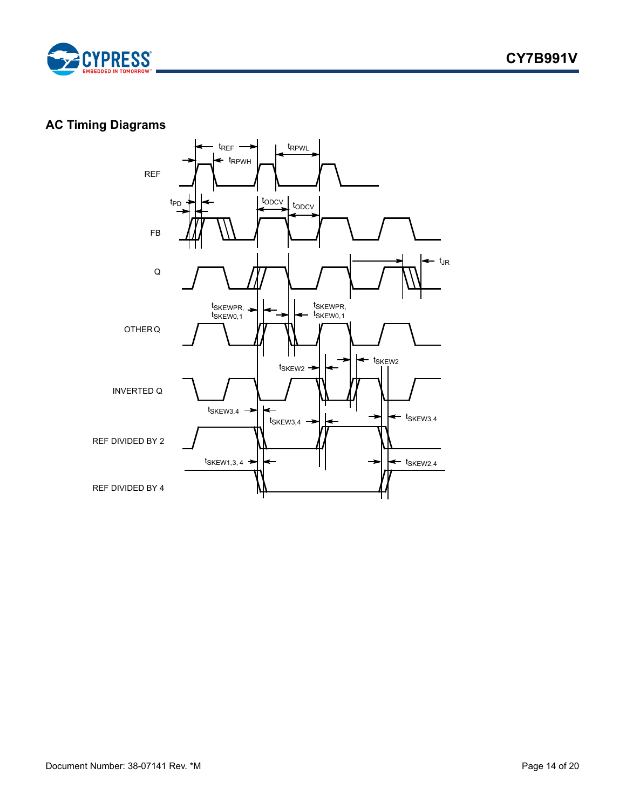

### <span id="page-13-0"></span>**AC Timing Diagrams**

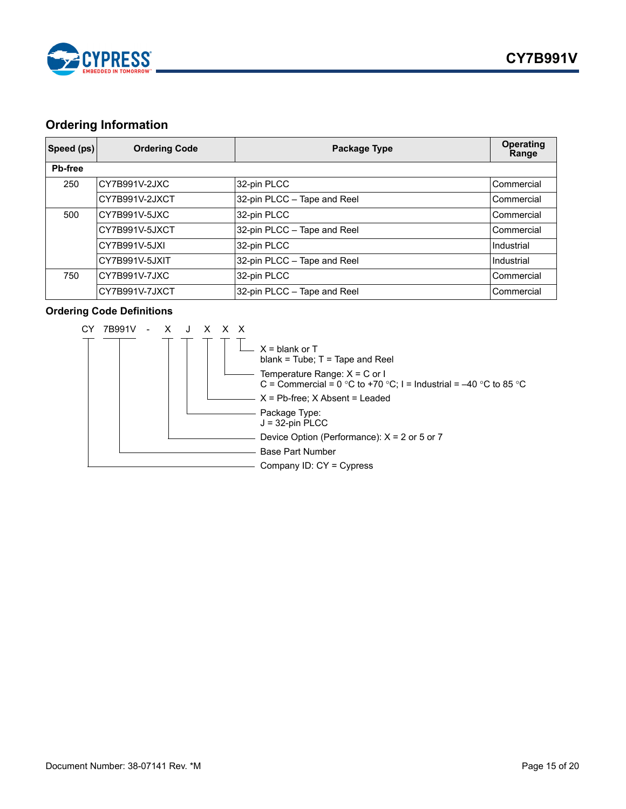

### <span id="page-14-0"></span>**Ordering Information**

| Speed (ps)     | <b>Ordering Code</b> | Package Type                | Operating<br>Range |
|----------------|----------------------|-----------------------------|--------------------|
| <b>Pb-free</b> |                      |                             |                    |
| 250            | CY7B991V-2JXC        | 32-pin PLCC                 | Commercial         |
|                | CY7B991V-2JXCT       | 32-pin PLCC - Tape and Reel | Commercial         |
| 500            | CY7B991V-5JXC        | 32-pin PLCC                 | Commercial         |
|                | CY7B991V-5JXCT       | 32-pin PLCC - Tape and Reel | Commercial         |
|                | CY7B991V-5JXI        | 32-pin PLCC                 | Industrial         |
|                | CY7B991V-5JXIT       | 32-pin PLCC - Tape and Reel | Industrial         |
| 750            | CY7B991V-7JXC        | 32-pin PLCC                 | Commercial         |
|                | CY7B991V-7JXCT       | 32-pin PLCC - Tape and Reel | Commercial         |

### **Ordering Code Definitions**

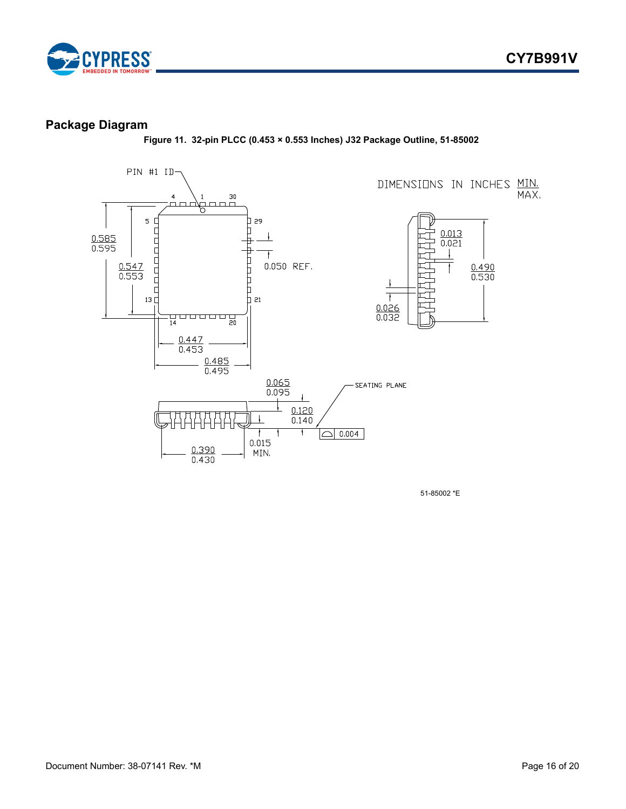



### <span id="page-15-0"></span>**Package Diagram**

**Figure 11. 32-pin PLCC (0.453 × 0.553 Inches) J32 Package Outline, 51-85002**



51-85002 \*E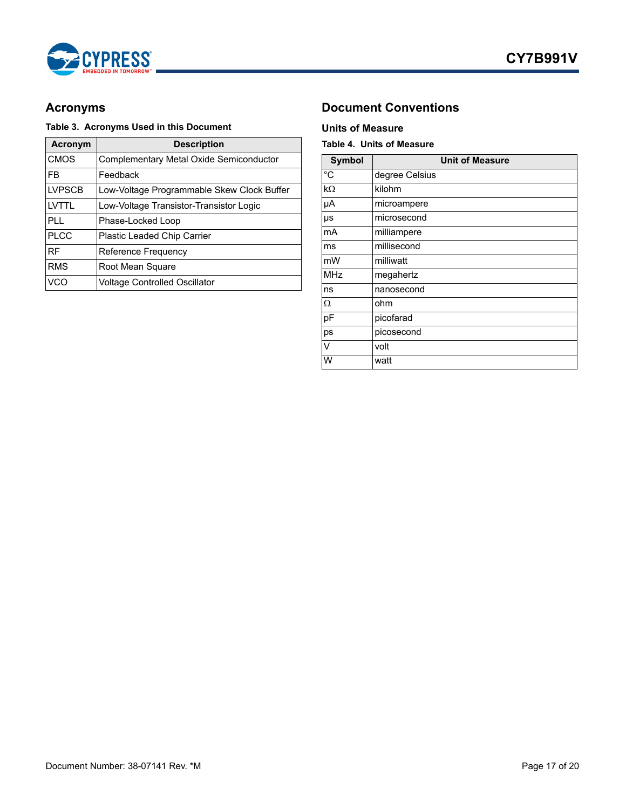

### **Table 3. Acronyms Used in this Document Units of Measure**

| Acronym       | <b>Description</b>                         |
|---------------|--------------------------------------------|
| <b>CMOS</b>   | Complementary Metal Oxide Semiconductor    |
| FB            | Feedback                                   |
| <b>LVPSCB</b> | Low-Voltage Programmable Skew Clock Buffer |
| I VTTI        | Low-Voltage Transistor-Transistor Logic    |
| PL L          | Phase-Locked Loop                          |
| <b>PLCC</b>   | <b>Plastic Leaded Chip Carrier</b>         |
| <b>RF</b>     | Reference Frequency                        |
| <b>RMS</b>    | Root Mean Square                           |
| VCO           | Voltage Controlled Oscillator              |

### <span id="page-16-0"></span>Acronyms **Document Conventions**

### <span id="page-16-2"></span><span id="page-16-1"></span>**Table 4. Units of Measure**

| <b>Symbol</b> | <b>Unit of Measure</b> |
|---------------|------------------------|
| $^{\circ}$ C  | degree Celsius         |
| kΩ            | kilohm                 |
| μA            | microampere            |
| μs            | microsecond            |
| mA            | milliampere            |
| ms            | millisecond            |
| mW            | milliwatt              |
| MHz           | megahertz              |
| ns            | nanosecond             |
| Ω             | ohm                    |
| pF            | picofarad              |
| ps            | picosecond             |
| V             | volt                   |
| W             | watt                   |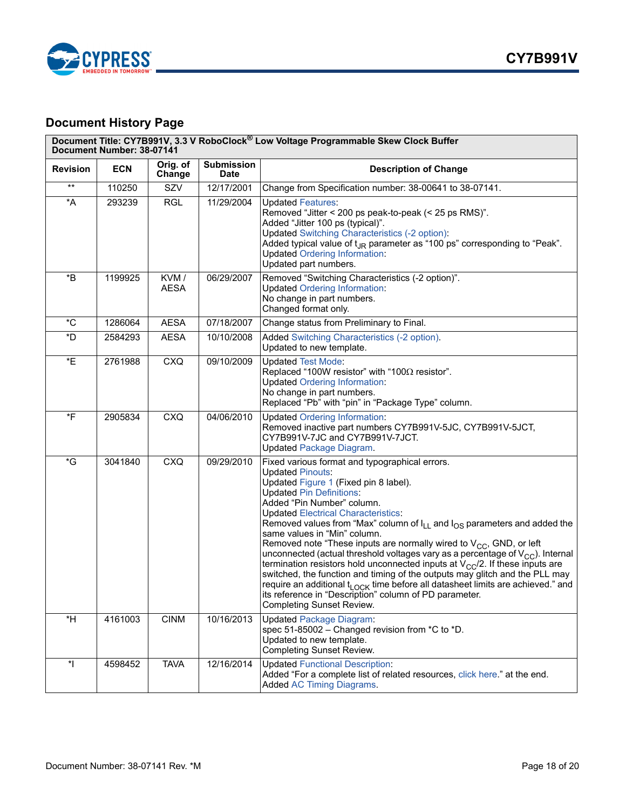

## <span id="page-17-0"></span>**Document History Page**

|                       | Document Title: CY7B991V, 3.3 V RoboClock <sup>®</sup> Low Voltage Programmable Skew Clock Buffer<br>Document Number: 38-07141 |                     |                           |                                                                                                                                                                                                                                                                                                                                                                                                                                                                                                                                                                                                                                                                                                                                                                                                                                                                                                           |  |  |
|-----------------------|--------------------------------------------------------------------------------------------------------------------------------|---------------------|---------------------------|-----------------------------------------------------------------------------------------------------------------------------------------------------------------------------------------------------------------------------------------------------------------------------------------------------------------------------------------------------------------------------------------------------------------------------------------------------------------------------------------------------------------------------------------------------------------------------------------------------------------------------------------------------------------------------------------------------------------------------------------------------------------------------------------------------------------------------------------------------------------------------------------------------------|--|--|
| <b>Revision</b>       | <b>ECN</b>                                                                                                                     | Orig. of<br>Change  | Submission<br><b>Date</b> | <b>Description of Change</b>                                                                                                                                                                                                                                                                                                                                                                                                                                                                                                                                                                                                                                                                                                                                                                                                                                                                              |  |  |
| $***$                 | 110250                                                                                                                         | SZV                 | 12/17/2001                | Change from Specification number: 38-00641 to 38-07141.                                                                                                                                                                                                                                                                                                                                                                                                                                                                                                                                                                                                                                                                                                                                                                                                                                                   |  |  |
| $\star$ A             | 293239                                                                                                                         | <b>RGL</b>          | 11/29/2004                | <b>Updated Features:</b><br>Removed "Jitter < 200 ps peak-to-peak (< 25 ps RMS)".<br>Added "Jitter 100 ps (typical)".<br><b>Updated Switching Characteristics (-2 option):</b><br>Added typical value of t <sub>JR</sub> parameter as "100 ps" corresponding to "Peak".<br><b>Updated Ordering Information:</b><br>Updated part numbers.                                                                                                                                                                                                                                                                                                                                                                                                                                                                                                                                                                  |  |  |
| *B                    | 1199925                                                                                                                        | KVM/<br><b>AESA</b> | 06/29/2007                | Removed "Switching Characteristics (-2 option)".<br><b>Updated Ordering Information:</b><br>No change in part numbers.<br>Changed format only.                                                                                                                                                                                                                                                                                                                                                                                                                                                                                                                                                                                                                                                                                                                                                            |  |  |
| $^{\ast}$ C           | 1286064                                                                                                                        | <b>AESA</b>         | 07/18/2007                | Change status from Preliminary to Final.                                                                                                                                                                                                                                                                                                                                                                                                                                                                                                                                                                                                                                                                                                                                                                                                                                                                  |  |  |
| *D                    | 2584293                                                                                                                        | <b>AESA</b>         | 10/10/2008                | Added Switching Characteristics (-2 option).<br>Updated to new template.                                                                                                                                                                                                                                                                                                                                                                                                                                                                                                                                                                                                                                                                                                                                                                                                                                  |  |  |
| *E                    | 2761988                                                                                                                        | <b>CXQ</b>          | 09/10/2009                | <b>Updated Test Mode:</b><br>Replaced "100W resistor" with "100 $\Omega$ resistor".<br><b>Updated Ordering Information:</b><br>No change in part numbers.<br>Replaced "Pb" with "pin" in "Package Type" column.                                                                                                                                                                                                                                                                                                                                                                                                                                                                                                                                                                                                                                                                                           |  |  |
| *F                    | 2905834                                                                                                                        | <b>CXQ</b>          | 04/06/2010                | <b>Updated Ordering Information:</b><br>Removed inactive part numbers CY7B991V-5JC, CY7B991V-5JCT,<br>CY7B991V-7JC and CY7B991V-7JCT.<br><b>Updated Package Diagram.</b>                                                                                                                                                                                                                                                                                                                                                                                                                                                                                                                                                                                                                                                                                                                                  |  |  |
| $\,{}^{\star}{\rm G}$ | 3041840                                                                                                                        | <b>CXQ</b>          | 09/29/2010                | Fixed various format and typographical errors.<br><b>Updated Pinouts:</b><br>Updated Figure 1 (Fixed pin 8 label).<br><b>Updated Pin Definitions:</b><br>Added "Pin Number" column.<br><b>Updated Electrical Characteristics:</b><br>Removed values from "Max" column of I <sub>LL</sub> and I <sub>OS</sub> parameters and added the<br>same values in "Min" column.<br>Removed note "These inputs are normally wired to $V_{CC}$ , GND, or left<br>unconnected (actual threshold voltages vary as a percentage of $V_{CC}$ ). Internal<br>termination resistors hold unconnected inputs at $V_{CC}/2$ . If these inputs are<br>switched, the function and timing of the outputs may glitch and the PLL may<br>require an additional t <sub>LOCK</sub> time before all datasheet limits are achieved." and<br>its reference in "Description" column of PD parameter.<br><b>Completing Sunset Review.</b> |  |  |
| $*H$                  | 4161003                                                                                                                        | <b>CINM</b>         | 10/16/2013                | <b>Updated Package Diagram:</b><br>spec 51-85002 - Changed revision from *C to *D.<br>Updated to new template.<br><b>Completing Sunset Review.</b>                                                                                                                                                                                                                                                                                                                                                                                                                                                                                                                                                                                                                                                                                                                                                        |  |  |
| $\star$               | 4598452                                                                                                                        | <b>TAVA</b>         | 12/16/2014                | <b>Updated Functional Description:</b><br>Added "For a complete list of related resources, click here." at the end.<br><b>Added AC Timing Diagrams.</b>                                                                                                                                                                                                                                                                                                                                                                                                                                                                                                                                                                                                                                                                                                                                                   |  |  |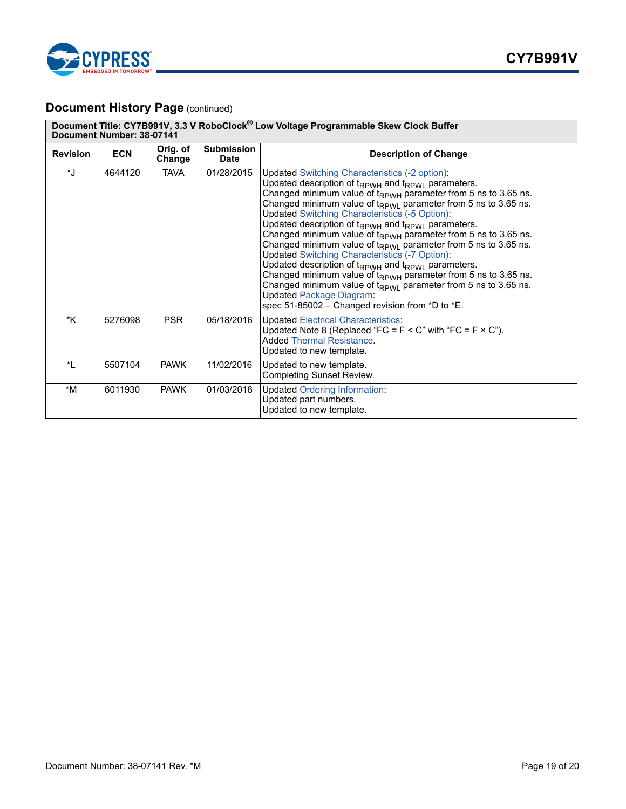

### **Document History Page (continued)**

|                 | Document Title: CY7B991V, 3.3 V RoboClock <sup>®</sup> Low Voltage Programmable Skew Clock Buffer<br>Document Number: 38-07141 |                    |                           |                                                                                                                                                                                                                                                                                                                                                                                                                                                                                                                                                                                                                                                                                                                                                                                                                                                                                                                                                          |  |  |  |
|-----------------|--------------------------------------------------------------------------------------------------------------------------------|--------------------|---------------------------|----------------------------------------------------------------------------------------------------------------------------------------------------------------------------------------------------------------------------------------------------------------------------------------------------------------------------------------------------------------------------------------------------------------------------------------------------------------------------------------------------------------------------------------------------------------------------------------------------------------------------------------------------------------------------------------------------------------------------------------------------------------------------------------------------------------------------------------------------------------------------------------------------------------------------------------------------------|--|--|--|
| <b>Revision</b> | <b>ECN</b>                                                                                                                     | Orig. of<br>Change | <b>Submission</b><br>Date | <b>Description of Change</b>                                                                                                                                                                                                                                                                                                                                                                                                                                                                                                                                                                                                                                                                                                                                                                                                                                                                                                                             |  |  |  |
| $\mathbf{H}$    | 4644120                                                                                                                        | <b>TAVA</b>        | 01/28/2015                | Updated Switching Characteristics (-2 option):<br>Updated description of t <sub>RPWH</sub> and t <sub>RPWL</sub> parameters.<br>Changed minimum value of t <sub>RPWH</sub> parameter from 5 ns to 3.65 ns.<br>Changed minimum value of t <sub>RPWL</sub> parameter from 5 ns to 3.65 ns.<br>Updated Switching Characteristics (-5 Option):<br>Updated description of t <sub>RPWH</sub> and t <sub>RPWL</sub> parameters.<br>Changed minimum value of t <sub>RPWH</sub> parameter from 5 ns to 3.65 ns.<br>Changed minimum value of $t_{RPWL}$ parameter from 5 ns to 3.65 ns.<br>Updated Switching Characteristics (-7 Option):<br>Updated description of t <sub>RPWH</sub> and t <sub>RPWL</sub> parameters.<br>Changed minimum value of t <sub>RPWH</sub> parameter from 5 ns to 3.65 ns.<br>Changed minimum value of $t_{RPW1}$ parameter from 5 ns to 3.65 ns.<br><b>Updated Package Diagram:</b><br>spec 51-85002 - Changed revision from *D to *E. |  |  |  |
| *K              | 5276098                                                                                                                        | <b>PSR</b>         | 05/18/2016                | Updated Electrical Characteristics:<br>Updated Note 8 (Replaced "FC = $F < C$ " with "FC = $F \times C$ ").<br><b>Added Thermal Resistance.</b><br>Updated to new template.                                                                                                                                                                                                                                                                                                                                                                                                                                                                                                                                                                                                                                                                                                                                                                              |  |  |  |
| *I.             | 5507104                                                                                                                        | <b>PAWK</b>        | 11/02/2016                | Updated to new template.<br><b>Completing Sunset Review.</b>                                                                                                                                                                                                                                                                                                                                                                                                                                                                                                                                                                                                                                                                                                                                                                                                                                                                                             |  |  |  |
| *M              | 6011930                                                                                                                        | <b>PAWK</b>        | 01/03/2018                | <b>Updated Ordering Information:</b><br>Updated part numbers.<br>Updated to new template.                                                                                                                                                                                                                                                                                                                                                                                                                                                                                                                                                                                                                                                                                                                                                                                                                                                                |  |  |  |